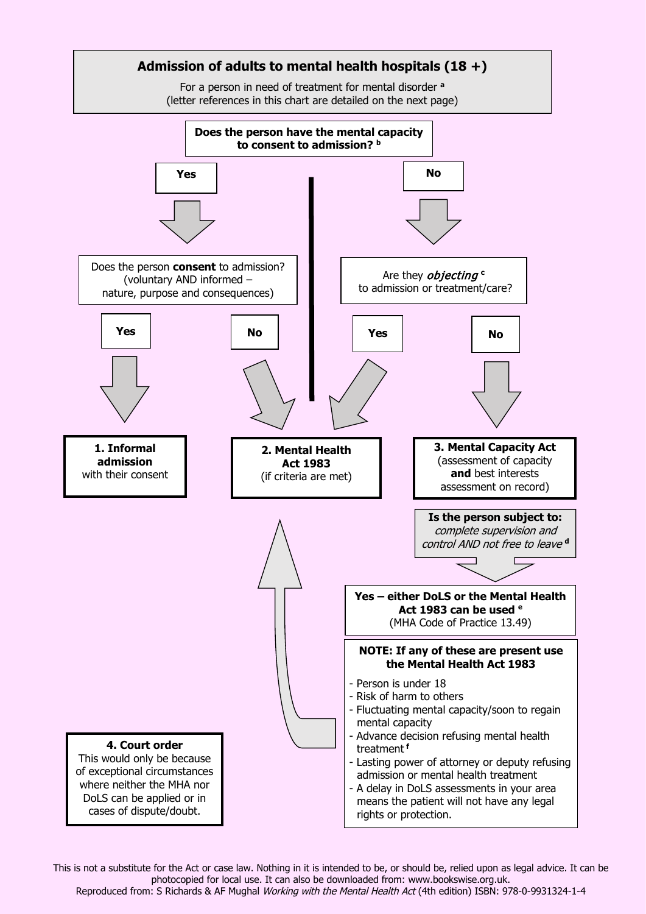

This is not a substitute for the Act or case law. Nothing in it is intended to be, or should be, relied upon as legal advice. It can be photocopied for local use. It can also be downloaded from: www.bookswise.org.uk. Reproduced from: S Richards & AF Mughal Working with the Mental Health Act (4th edition) ISBN: 978-0-9931324-1-4